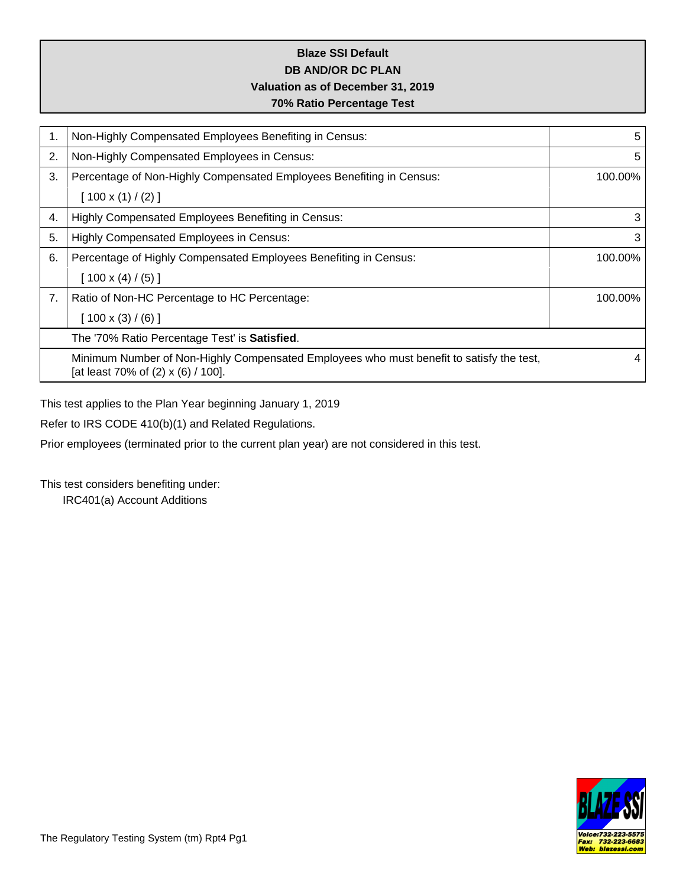# **Blaze SSI Default DB AND/OR DC PLAN Valuation as of December 31, 2019 70% Ratio Percentage Test**

| 1. | Non-Highly Compensated Employees Benefiting in Census:                                                                         | 5       |
|----|--------------------------------------------------------------------------------------------------------------------------------|---------|
| 2. | Non-Highly Compensated Employees in Census:                                                                                    | 5       |
| 3. | Percentage of Non-Highly Compensated Employees Benefiting in Census:                                                           | 100.00% |
|    | $[100 \times (1) / (2)]$                                                                                                       |         |
| 4. | Highly Compensated Employees Benefiting in Census:                                                                             | 3       |
| 5. | <b>Highly Compensated Employees in Census:</b>                                                                                 | 3       |
| 6. | Percentage of Highly Compensated Employees Benefiting in Census:                                                               | 100.00% |
|    | $[100 \times (4) / (5)]$                                                                                                       |         |
| 7. | Ratio of Non-HC Percentage to HC Percentage:                                                                                   | 100.00% |
|    | $[100 \times (3) / (6)]$                                                                                                       |         |
|    | The '70% Ratio Percentage Test' is Satisfied.                                                                                  |         |
|    | Minimum Number of Non-Highly Compensated Employees who must benefit to satisfy the test,<br>[at least 70% of (2) x (6) / 100]. | 4       |

This test applies to the Plan Year beginning January 1, 2019

Refer to IRS CODE 410(b)(1) and Related Regulations.

Prior employees (terminated prior to the current plan year) are not considered in this test.

This test considers benefiting under:

IRC401(a) Account Additions

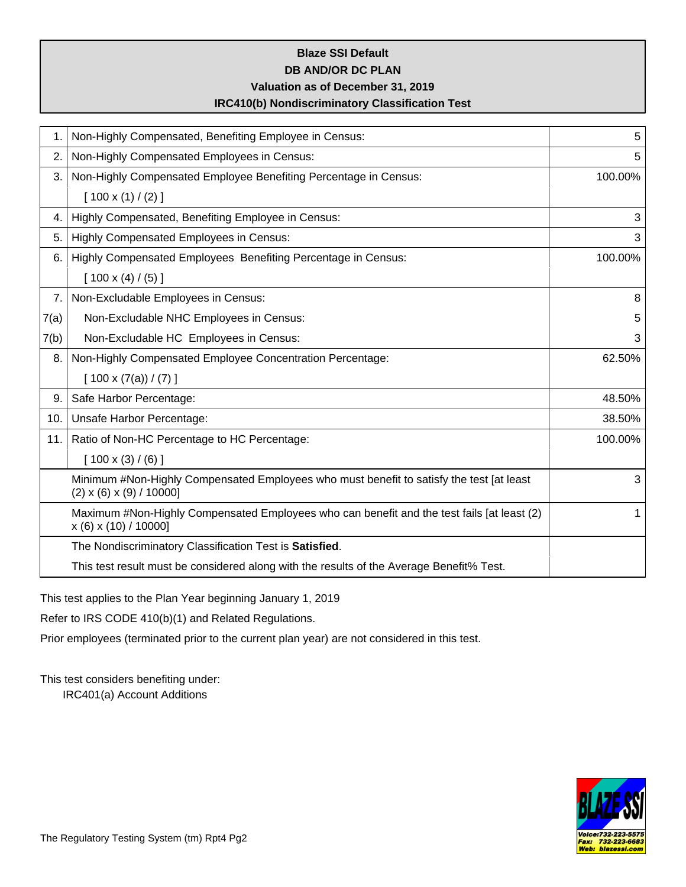### **Blaze SSI Default DB AND/OR DC PLAN**

## **Valuation as of December 31, 2019**

### **IRC410(b) Nondiscriminatory Classification Test**

| 1.   | Non-Highly Compensated, Benefiting Employee in Census:                                                                          | 5       |
|------|---------------------------------------------------------------------------------------------------------------------------------|---------|
| 2.   | Non-Highly Compensated Employees in Census:                                                                                     | 5       |
| 3.   | Non-Highly Compensated Employee Benefiting Percentage in Census:                                                                | 100.00% |
|      | $[100 \times (1) / (2)]$                                                                                                        |         |
| 4.   | Highly Compensated, Benefiting Employee in Census:                                                                              | 3       |
| 5.   | Highly Compensated Employees in Census:                                                                                         | 3       |
| 6.   | Highly Compensated Employees Benefiting Percentage in Census:                                                                   | 100.00% |
|      | $[100 \times (4) / (5)]$                                                                                                        |         |
| 7.   | Non-Excludable Employees in Census:                                                                                             | 8       |
| 7(a) | Non-Excludable NHC Employees in Census:                                                                                         | 5       |
| 7(b) | Non-Excludable HC Employees in Census:                                                                                          | 3       |
| 8.   | Non-Highly Compensated Employee Concentration Percentage:                                                                       | 62.50%  |
|      | $[100 \times (7(a)) / (7)]$                                                                                                     |         |
| 9.   | Safe Harbor Percentage:                                                                                                         | 48.50%  |
| 10.  | Unsafe Harbor Percentage:                                                                                                       | 38.50%  |
| 11.  | Ratio of Non-HC Percentage to HC Percentage:                                                                                    | 100.00% |
|      | $[100 \times (3) / (6)]$                                                                                                        |         |
|      | Minimum #Non-Highly Compensated Employees who must benefit to satisfy the test [at least<br>$(2) \times (6) \times (9) / 10000$ | 3       |
|      | Maximum #Non-Highly Compensated Employees who can benefit and the test fails [at least (2)<br>$x(6)$ x (10) / 10000]            | 1       |
|      | The Nondiscriminatory Classification Test is Satisfied.                                                                         |         |
|      | This test result must be considered along with the results of the Average Benefit% Test.                                        |         |

This test applies to the Plan Year beginning January 1, 2019

Refer to IRS CODE 410(b)(1) and Related Regulations.

Prior employees (terminated prior to the current plan year) are not considered in this test.

This test considers benefiting under:

IRC401(a) Account Additions

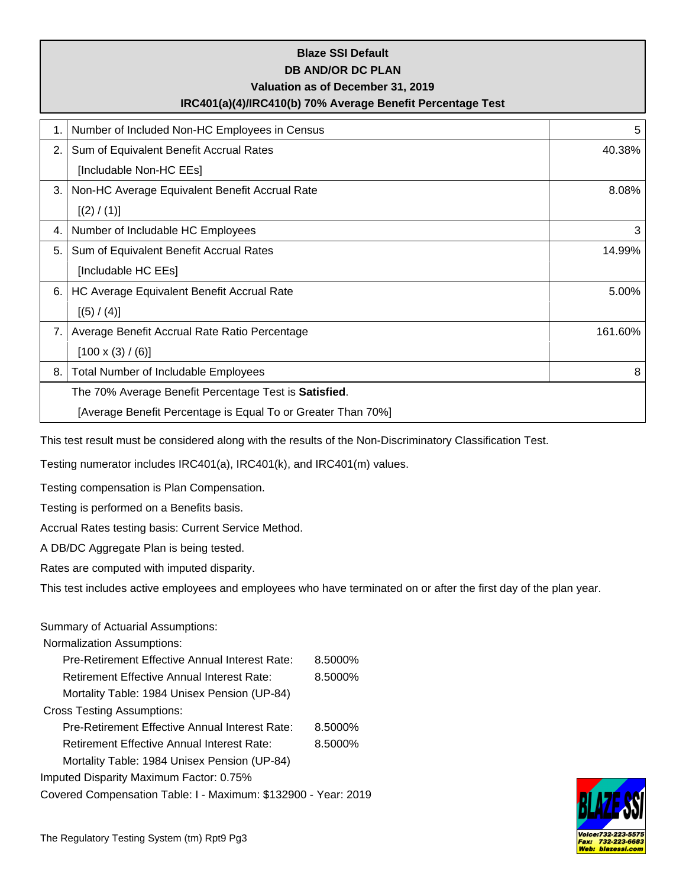|    | <b>Blaze SSI Default</b><br><b>DB AND/OR DC PLAN</b><br>Valuation as of December 31, 2019<br>IRC401(a)(4)/IRC410(b) 70% Average Benefit Percentage Test |         |
|----|---------------------------------------------------------------------------------------------------------------------------------------------------------|---------|
| 1. | Number of Included Non-HC Employees in Census                                                                                                           | 5       |
| 2. | Sum of Equivalent Benefit Accrual Rates                                                                                                                 | 40.38%  |
|    | [Includable Non-HC EEs]                                                                                                                                 |         |
| 3. | Non-HC Average Equivalent Benefit Accrual Rate                                                                                                          | 8.08%   |
|    | [(2) / (1)]                                                                                                                                             |         |
| 4. | Number of Includable HC Employees                                                                                                                       | 3       |
| 5. | Sum of Equivalent Benefit Accrual Rates                                                                                                                 | 14.99%  |
|    | [Includable HC EEs]                                                                                                                                     |         |
| 6. | HC Average Equivalent Benefit Accrual Rate                                                                                                              | 5.00%   |
|    | [(5) / (4)]                                                                                                                                             |         |
| 7. | Average Benefit Accrual Rate Ratio Percentage                                                                                                           | 161.60% |
|    | $[100 \times (3) / (6)]$                                                                                                                                |         |
| 8. | <b>Total Number of Includable Employees</b>                                                                                                             | 8       |
|    | The 70% Average Benefit Percentage Test is Satisfied.                                                                                                   |         |
|    | [Average Benefit Percentage is Equal To or Greater Than 70%]                                                                                            |         |

This test result must be considered along with the results of the Non-Discriminatory Classification Test.

Testing numerator includes IRC401(a), IRC401(k), and IRC401(m) values.

Testing compensation is Plan Compensation.

Testing is performed on a Benefits basis.

Accrual Rates testing basis: Current Service Method.

A DB/DC Aggregate Plan is being tested.

Rates are computed with imputed disparity.

This test includes active employees and employees who have terminated on or after the first day of the plan year.

#### Summary of Actuarial Assumptions:

| Pre-Retirement Effective Annual Interest Rate:                 | 8.5000% |
|----------------------------------------------------------------|---------|
| <b>Retirement Effective Annual Interest Rate:</b>              | 8.5000% |
| Mortality Table: 1984 Unisex Pension (UP-84)                   |         |
| <b>Cross Testing Assumptions:</b>                              |         |
| Pre-Retirement Effective Annual Interest Rate:                 | 8.5000% |
| Retirement Effective Annual Interest Rate:                     | 8.5000% |
| Mortality Table: 1984 Unisex Pension (UP-84)                   |         |
| Imputed Disparity Maximum Factor: 0.75%                        |         |
| Covered Compensation Table: I - Maximum: \$132900 - Year: 2019 |         |

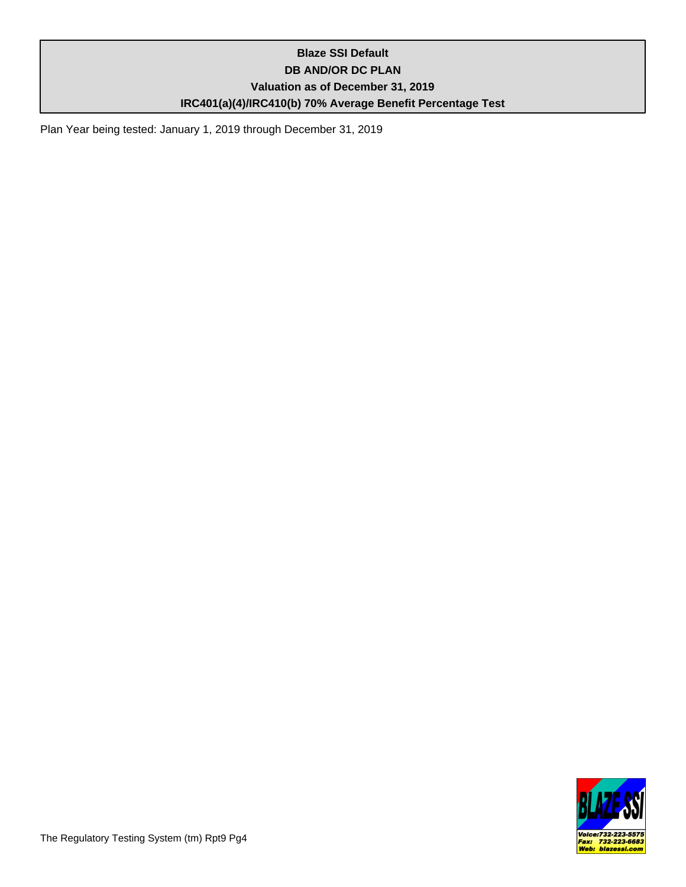# **Blaze SSI Default DB AND/OR DC PLAN Valuation as of December 31, 2019 IRC401(a)(4)/IRC410(b) 70% Average Benefit Percentage Test**

Plan Year being tested: January 1, 2019 through December 31, 2019

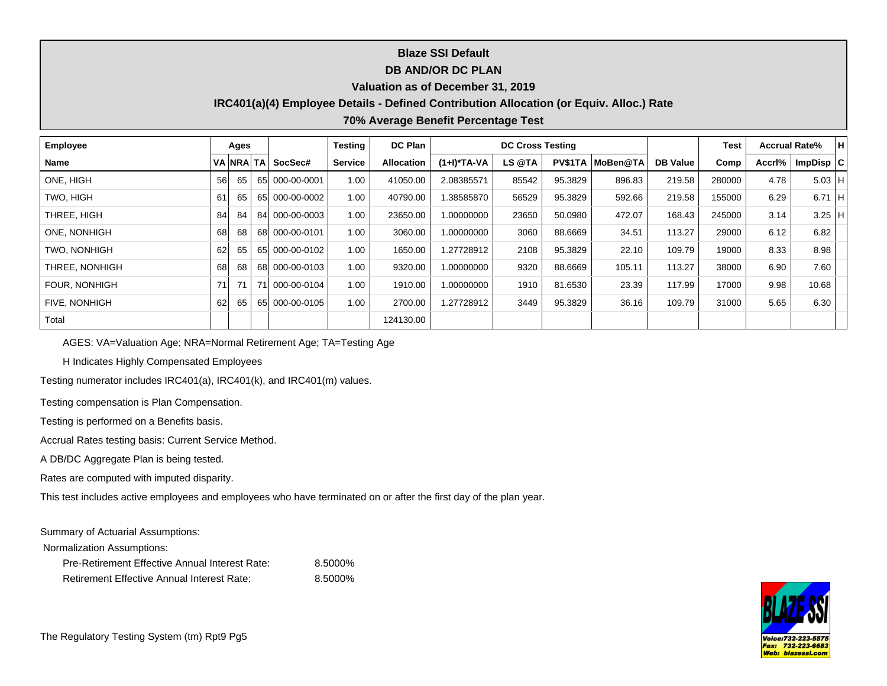## **Blaze SSI Default**

### **DB AND/OR DC PLAN**

#### **Valuation as of December 31, 2019**

### **IRC401(a)(4) Employee Details - Defined Contribution Allocation (or Equiv. Alloc.) Rate**

#### **70% Average Benefit Percentage Test**

| Employee            | Ages |    |  |                   |         | <b>DC Plan</b>    |             |        | Test    |                  | <b>Accrual Rate%</b> | H      |        |             |  |
|---------------------|------|----|--|-------------------|---------|-------------------|-------------|--------|---------|------------------|----------------------|--------|--------|-------------|--|
| <b>Name</b>         |      |    |  | VA NRA TA SocSec# | Service | <b>Allocation</b> | (1+I)*TA-VA | LS @TA |         | PV\$1TA MoBen@TA | <b>DB Value</b>      | Comp   | Accri% | ImpDisp   C |  |
| ONE, HIGH           | 56   | 65 |  | 65 000-00-0001    | 1.00    | 41050.00          | 2.08385571  | 85542  | 95.3829 | 896.83           | 219.58               | 280000 | 4.78   | $5.03$ H    |  |
| TWO. HIGH           | 61   | 65 |  | 65 000-00-0002    | 1.00    | 40790.00          | 1.38585870  | 56529  | 95.3829 | 592.66           | 219.58               | 155000 | 6.29   | $6.71$ H    |  |
| THREE. HIGH         | 84   | 84 |  | 84 000-00-0003    | 1.00    | 23650.00          | 1.00000000  | 23650  | 50.0980 | 472.07           | 168.43               | 245000 | 3.14   | $3.25$ H    |  |
| ONE, NONHIGH        | 68   | 68 |  | 68 000-00-0101    | 1.00    | 3060.00           | 1.00000000  | 3060   | 88.6669 | 34.51            | 113.27               | 29000  | 6.12   | 6.82        |  |
| <b>TWO. NONHIGH</b> | 62   | 65 |  | 65 000-00-0102    | 1.00    | 1650.00           | 1.27728912  | 2108   | 95.3829 | 22.10            | 109.79               | 19000  | 8.33   | 8.98        |  |
| THREE, NONHIGH      | 681  | 68 |  | 68 000-00-0103    | 1.00    | 9320.00           | 1.00000000  | 9320   | 88.6669 | 105.11           | 113.27               | 38000  | 6.90   | 7.60        |  |
| FOUR, NONHIGH       | 71   | 71 |  | 000-00-0104       | 1.00    | 1910.00           | 1.00000000  | 1910   | 81.6530 | 23.39            | 117.99               | 17000  | 9.98   | 10.68       |  |
| FIVE, NONHIGH       | 62   | 65 |  | 65 000-00-0105    | 1.00    | 2700.00           | 1.27728912  | 3449   | 95.3829 | 36.16            | 109.79               | 31000  | 5.65   | 6.30        |  |
| Total               |      |    |  |                   |         | 124130.00         |             |        |         |                  |                      |        |        |             |  |

AGES: VA=Valuation Age; NRA=Normal Retirement Age; TA=Testing Age

H Indicates Highly Compensated Employees

Testing numerator includes IRC401(a), IRC401(k), and IRC401(m) values.

Testing compensation is Plan Compensation.

Testing is performed on a Benefits basis.

Accrual Rates testing basis: Current Service Method.

A DB/DC Aggregate Plan is being tested.

Rates are computed with imputed disparity.

This test includes active employees and employees who have terminated on or after the first day of the plan year.

Summary of Actuarial Assumptions:

| Pre-Retirement Effective Annual Interest Rate:    | 8.5000% |
|---------------------------------------------------|---------|
| <b>Retirement Effective Annual Interest Rate:</b> | 8.5000% |

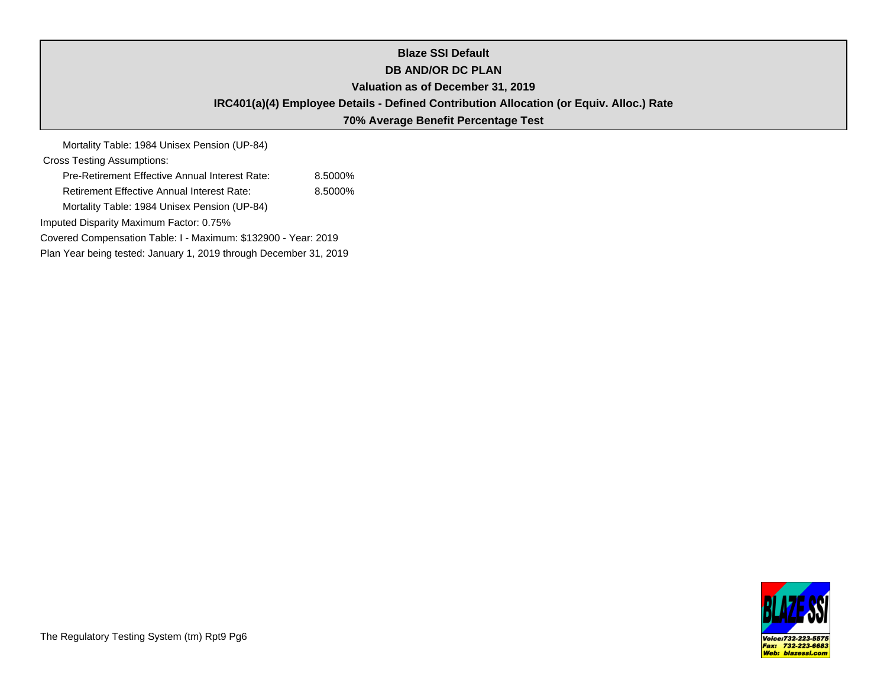# **Blaze SSI Default DB AND/OR DC PLAN Valuation as of December 31, 2019 IRC401(a)(4) Employee Details - Defined Contribution Allocation (or Equiv. Alloc.) Rate 70% Average Benefit Percentage Test**

Mortality Table: 1984 Unisex Pension (UP-84) Cross Testing Assumptions: Pre-Retirement Effective Annual Interest Rate: 8.5000% Retirement Effective Annual Interest Rate: 8.5000% Mortality Table: 1984 Unisex Pension (UP-84) Imputed Disparity Maximum Factor: 0.75% Covered Compensation Table: I - Maximum: \$132900 - Year: 2019 Plan Year being tested: January 1, 2019 through December 31, 2019

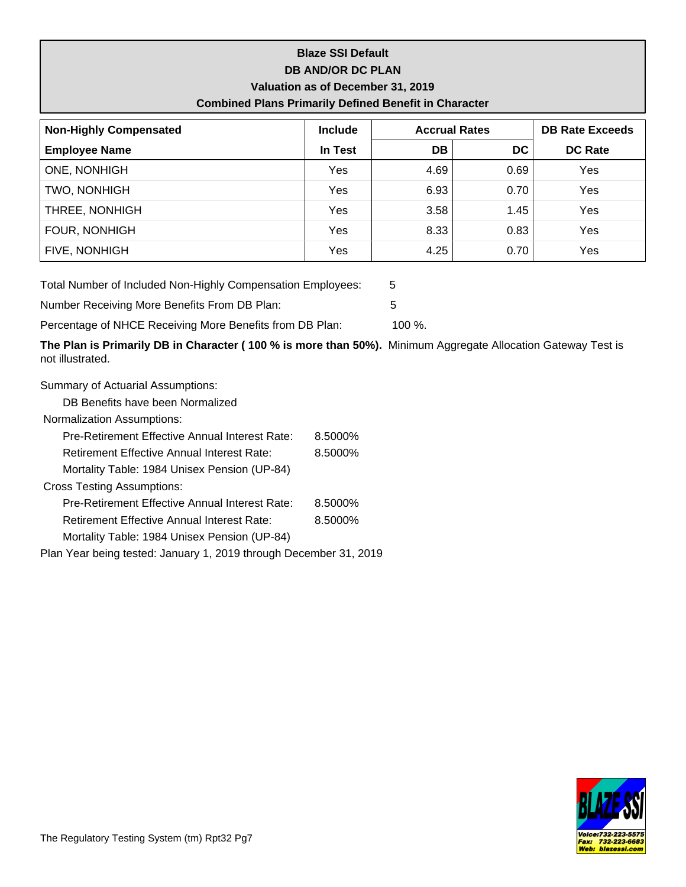# **Blaze SSI Default DB AND/OR DC PLAN Valuation as of December 31, 2019 Combined Plans Primarily Defined Benefit in Character**

| <b>Non-Highly Compensated</b> | <b>Include</b> |      | <b>Accrual Rates</b> | <b>DB Rate Exceeds</b> |  |  |
|-------------------------------|----------------|------|----------------------|------------------------|--|--|
| <b>Employee Name</b>          | In Test        | DB.  | DC.                  | <b>DC Rate</b>         |  |  |
| <b>ONE, NONHIGH</b>           | Yes            | 4.69 | 0.69                 | Yes                    |  |  |
| TWO, NONHIGH                  | Yes            | 6.93 | 0.70                 | Yes                    |  |  |
| THREE, NONHIGH                | Yes            | 3.58 | 1.45                 | Yes                    |  |  |
| FOUR, NONHIGH                 | Yes            | 8.33 | 0.83                 | Yes                    |  |  |
| FIVE, NONHIGH                 | Yes            | 4.25 | 0.70                 | Yes                    |  |  |

Total Number of Included Non-Highly Compensation Employees: 5

Number Receiving More Benefits From DB Plan: 5

Percentage of NHCE Receiving More Benefits from DB Plan: 100 %.

**The Plan is Primarily DB in Character ( 100 % is more than 50%).** Minimum Aggregate Allocation Gateway Test is not illustrated.

Summary of Actuarial Assumptions:

DB Benefits have been Normalized

| Pre-Retirement Effective Annual Interest Rate:                    | 8.5000% |  |  |  |  |  |
|-------------------------------------------------------------------|---------|--|--|--|--|--|
| <b>Retirement Effective Annual Interest Rate:</b>                 | 8.5000% |  |  |  |  |  |
| Mortality Table: 1984 Unisex Pension (UP-84)                      |         |  |  |  |  |  |
| <b>Cross Testing Assumptions:</b>                                 |         |  |  |  |  |  |
| Pre-Retirement Effective Annual Interest Rate:                    | 8.5000% |  |  |  |  |  |
| <b>Retirement Effective Annual Interest Rate:</b>                 | 8.5000% |  |  |  |  |  |
| Mortality Table: 1984 Unisex Pension (UP-84)                      |         |  |  |  |  |  |
| Plan Year being tested: January 1, 2019 through December 31, 2019 |         |  |  |  |  |  |